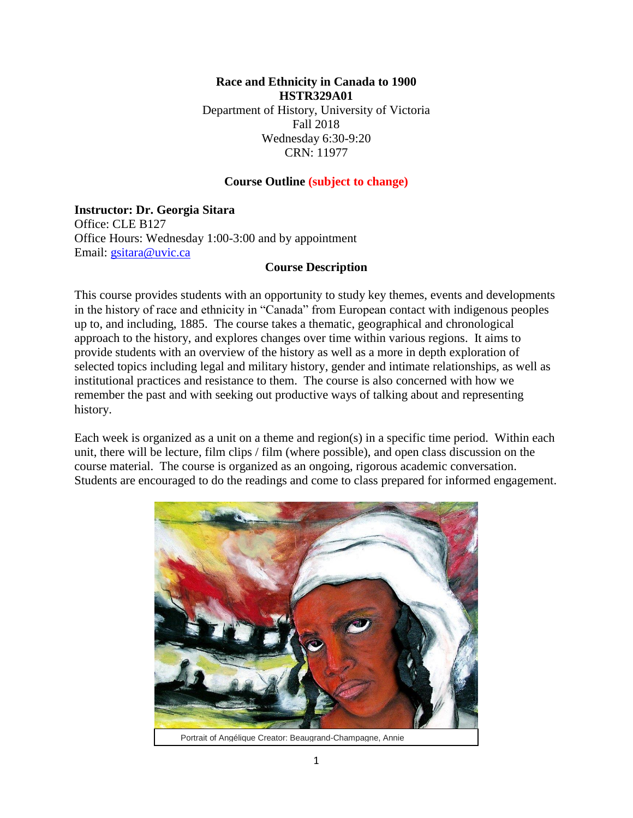**Race and Ethnicity in Canada to 1900 HSTR329A01** Department of History, University of Victoria Fall 2018 Wednesday 6:30-9:20 CRN: 11977

#### **Course Outline (subject to change)**

#### **Instructor: Dr. Georgia Sitara**

Office: CLE B127 Office Hours: Wednesday 1:00-3:00 and by appointment Email: [gsitara@uvic.ca](mailto:gsitara@uvic.ca)

#### **Course Description**

This course provides students with an opportunity to study key themes, events and developments in the history of race and ethnicity in "Canada" from European contact with indigenous peoples up to, and including, 1885. The course takes a thematic, geographical and chronological approach to the history, and explores changes over time within various regions. It aims to provide students with an overview of the history as well as a more in depth exploration of selected topics including legal and military history, gender and intimate relationships, as well as institutional practices and resistance to them. The course is also concerned with how we remember the past and with seeking out productive ways of talking about and representing history.

Each week is organized as a unit on a theme and region(s) in a specific time period. Within each unit, there will be lecture, film clips / film (where possible), and open class discussion on the course material. The course is organized as an ongoing, rigorous academic conversation. Students are encouraged to do the readings and come to class prepared for informed engagement.



Portrait of Angélique Creator: Beaugrand-Champagne, Annie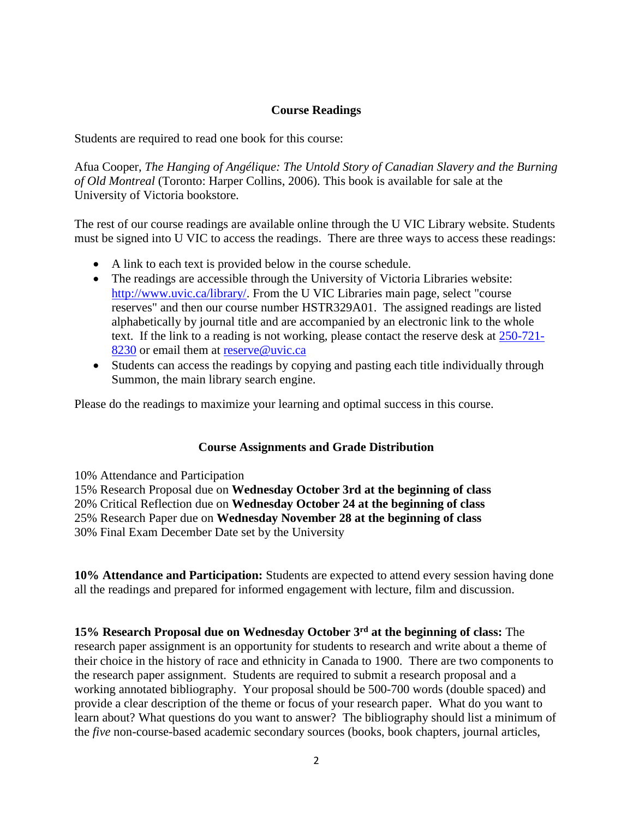#### **Course Readings**

Students are required to read one book for this course:

Afua Cooper, *The Hanging of Angélique: The Untold Story of Canadian Slavery and the Burning of Old Montreal* (Toronto: Harper Collins, 2006). This book is available for sale at the University of Victoria bookstore.

The rest of our course readings are available online through the U VIC Library website. Students must be signed into U VIC to access the readings. There are three ways to access these readings:

- A link to each text is provided below in the course schedule.
- The readings are accessible through the University of Victoria Libraries website: [http://www.uvic.ca/library/.](http://www.uvic.ca/library/) From the U VIC Libraries main page, select "course reserves" and then our course number HSTR329A01. The assigned readings are listed alphabetically by journal title and are accompanied by an electronic link to the whole text. If the link to a reading is not working, please contact the reserve desk at [250-721-](tel:250-721-8230) [8230](tel:250-721-8230) or email them at [reserve@uvic.ca](mailto:reserve@uvic.ca)
- Students can access the readings by copying and pasting each title individually through Summon, the main library search engine.

Please do the readings to maximize your learning and optimal success in this course.

#### **Course Assignments and Grade Distribution**

10% Attendance and Participation

- 15% Research Proposal due on **Wednesday October 3rd at the beginning of class**
- 20% Critical Reflection due on **Wednesday October 24 at the beginning of class**
- 25% Research Paper due on **Wednesday November 28 at the beginning of class**

30% Final Exam December Date set by the University

**10% Attendance and Participation:** Students are expected to attend every session having done all the readings and prepared for informed engagement with lecture, film and discussion.

**15% Research Proposal due on Wednesday October 3rd at the beginning of class:** The research paper assignment is an opportunity for students to research and write about a theme of their choice in the history of race and ethnicity in Canada to 1900. There are two components to the research paper assignment. Students are required to submit a research proposal and a working annotated bibliography. Your proposal should be 500-700 words (double spaced) and provide a clear description of the theme or focus of your research paper. What do you want to learn about? What questions do you want to answer? The bibliography should list a minimum of the *five* non-course-based academic secondary sources (books, book chapters, journal articles,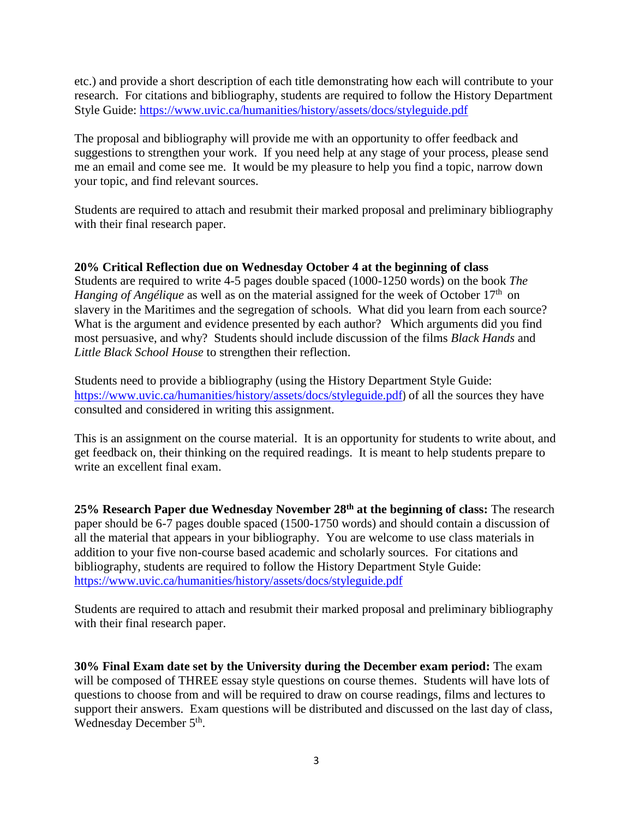etc.) and provide a short description of each title demonstrating how each will contribute to your research. For citations and bibliography, students are required to follow the History Department Style Guide:<https://www.uvic.ca/humanities/history/assets/docs/styleguide.pdf>

The proposal and bibliography will provide me with an opportunity to offer feedback and suggestions to strengthen your work. If you need help at any stage of your process, please send me an email and come see me. It would be my pleasure to help you find a topic, narrow down your topic, and find relevant sources.

Students are required to attach and resubmit their marked proposal and preliminary bibliography with their final research paper.

### **20% Critical Reflection due on Wednesday October 4 at the beginning of class**

Students are required to write 4-5 pages double spaced (1000-1250 words) on the book *The Hanging of Angélique* as well as on the material assigned for the week of October 17<sup>th</sup> on slavery in the Maritimes and the segregation of schools. What did you learn from each source? What is the argument and evidence presented by each author? Which arguments did you find most persuasive, and why? Students should include discussion of the films *Black Hands* and *Little Black School House* to strengthen their reflection.

Students need to provide a bibliography (using the History Department Style Guide: <https://www.uvic.ca/humanities/history/assets/docs/styleguide.pdf>) of all the sources they have consulted and considered in writing this assignment.

This is an assignment on the course material. It is an opportunity for students to write about, and get feedback on, their thinking on the required readings. It is meant to help students prepare to write an excellent final exam.

**25% Research Paper due Wednesday November 28th at the beginning of class:** The research paper should be 6-7 pages double spaced (1500-1750 words) and should contain a discussion of all the material that appears in your bibliography. You are welcome to use class materials in addition to your five non-course based academic and scholarly sources. For citations and bibliography, students are required to follow the History Department Style Guide: <https://www.uvic.ca/humanities/history/assets/docs/styleguide.pdf>

Students are required to attach and resubmit their marked proposal and preliminary bibliography with their final research paper.

**30% Final Exam date set by the University during the December exam period:** The exam will be composed of THREE essay style questions on course themes. Students will have lots of questions to choose from and will be required to draw on course readings, films and lectures to support their answers. Exam questions will be distributed and discussed on the last day of class, Wednesday December 5<sup>th</sup>.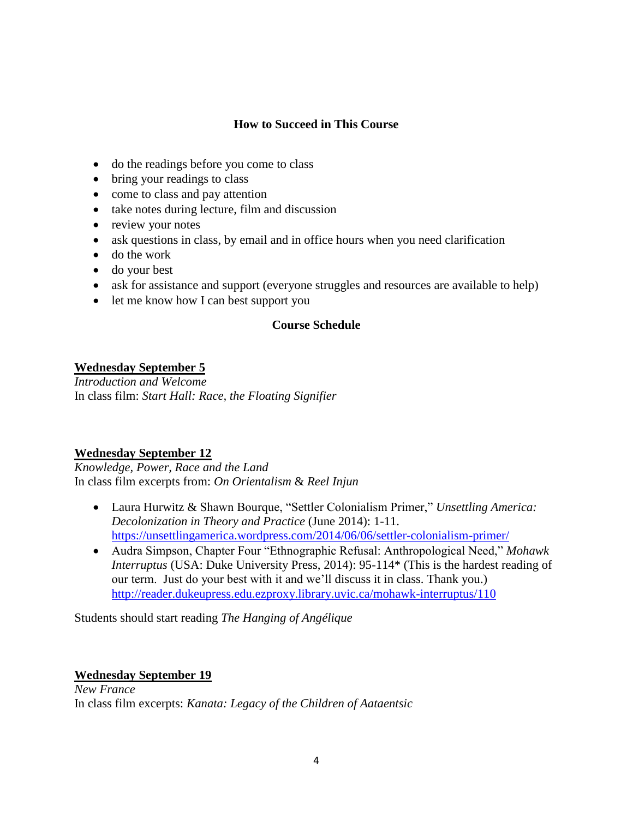# **How to Succeed in This Course**

- do the readings before you come to class
- bring your readings to class
- come to class and pay attention
- take notes during lecture, film and discussion
- review your notes
- ask questions in class, by email and in office hours when you need clarification
- do the work
- do your best
- ask for assistance and support (everyone struggles and resources are available to help)
- let me know how I can best support you

# **Course Schedule**

# **Wednesday September 5**

*Introduction and Welcome* In class film: *Start Hall: Race, the Floating Signifier*

### **Wednesday September 12**

*Knowledge, Power, Race and the Land* In class film excerpts from: *On Orientalism* & *Reel Injun*

- Laura Hurwitz & Shawn Bourque, "Settler Colonialism Primer," *Unsettling America: Decolonization in Theory and Practice* (June 2014): 1-11. <https://unsettlingamerica.wordpress.com/2014/06/06/settler-colonialism-primer/>
- Audra Simpson, Chapter Four "Ethnographic Refusal: Anthropological Need," *Mohawk Interruptus* (USA: Duke University Press, 2014): 95-114\* (This is the hardest reading of our term. Just do your best with it and we'll discuss it in class. Thank you.) <http://reader.dukeupress.edu.ezproxy.library.uvic.ca/mohawk-interruptus/110>

Students should start reading *The Hanging of Angélique*

### **Wednesday September 19**

*New France* In class film excerpts: *Kanata: Legacy of the Children of Aataentsic*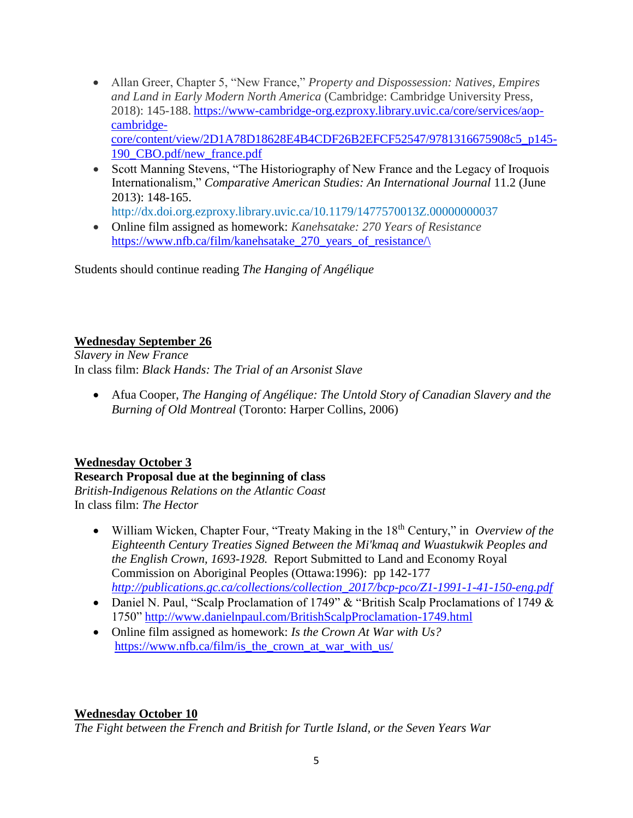- Allan Greer, Chapter 5, "New France," *Property and Dispossession: Natives, Empires and Land in Early Modern North America* (Cambridge: Cambridge University Press, 2018): 145-188. [https://www-cambridge-org.ezproxy.library.uvic.ca/core/services/aop](https://www-cambridge-org.ezproxy.library.uvic.ca/core/services/aop-cambridge-core/content/view/2D1A78D18628E4B4CDF26B2EFCF52547/9781316675908c5_p145-190_CBO.pdf/new_france.pdf)[cambridge](https://www-cambridge-org.ezproxy.library.uvic.ca/core/services/aop-cambridge-core/content/view/2D1A78D18628E4B4CDF26B2EFCF52547/9781316675908c5_p145-190_CBO.pdf/new_france.pdf)[core/content/view/2D1A78D18628E4B4CDF26B2EFCF52547/9781316675908c5\\_p145-](https://www-cambridge-org.ezproxy.library.uvic.ca/core/services/aop-cambridge-core/content/view/2D1A78D18628E4B4CDF26B2EFCF52547/9781316675908c5_p145-190_CBO.pdf/new_france.pdf) [190\\_CBO.pdf/new\\_france.pdf](https://www-cambridge-org.ezproxy.library.uvic.ca/core/services/aop-cambridge-core/content/view/2D1A78D18628E4B4CDF26B2EFCF52547/9781316675908c5_p145-190_CBO.pdf/new_france.pdf)
- Scott Manning Stevens, "The Historiography of New France and the Legacy of Iroquois Internationalism," *Comparative American Studies: An International Journal* 11.2 (June 2013): 148-165.
	- <http://dx.doi.org.ezproxy.library.uvic.ca/10.1179/1477570013Z.00000000037>
- Online film assigned as homework: *Kanehsatake: 270 Years of Resistance* [https://www.nfb.ca/film/kanehsatake\\_270\\_years\\_of\\_resistance/\](https://www.nfb.ca/film/kanehsatake_270_years_of_resistance/)

Students should continue reading *The Hanging of Angélique*

#### **Wednesday September 26**

*Slavery in New France* In class film: *Black Hands: The Trial of an Arsonist Slave*

 Afua Cooper, *The Hanging of Angélique: The Untold Story of Canadian Slavery and the Burning of Old Montreal* (Toronto: Harper Collins, 2006)

### **Wednesday October 3**

### **Research Proposal due at the beginning of class**

*British-Indigenous Relations on the Atlantic Coast*  In class film: *The Hector*

- William Wicken, Chapter Four, "Treaty Making in the 18th Century," in *Overview of the Eighteenth Century Treaties Signed Between the Mi'kmaq and Wuastukwik Peoples and the English Crown, 1693-1928.* Report Submitted to Land and Economy Royal Commission on Aboriginal Peoples (Ottawa:1996): pp 142-177 *[http://publications.gc.ca/collections/collection\\_2017/bcp-pco/Z1-1991-1-41-150-eng.pdf](http://publications.gc.ca/collections/collection_2017/bcp-pco/Z1-1991-1-41-150-eng.pdf)*
- Daniel N. Paul, "Scalp Proclamation of 1749" & "British Scalp Proclamations of 1749 & 1750" <http://www.danielnpaul.com/BritishScalpProclamation-1749.html>
- Online film assigned as homework: *Is the Crown At War with Us?* [https://www.nfb.ca/film/is\\_the\\_crown\\_at\\_war\\_with\\_us/](https://www.nfb.ca/film/is_the_crown_at_war_with_us/)

### **Wednesday October 10**

*The Fight between the French and British for Turtle Island, or the Seven Years War*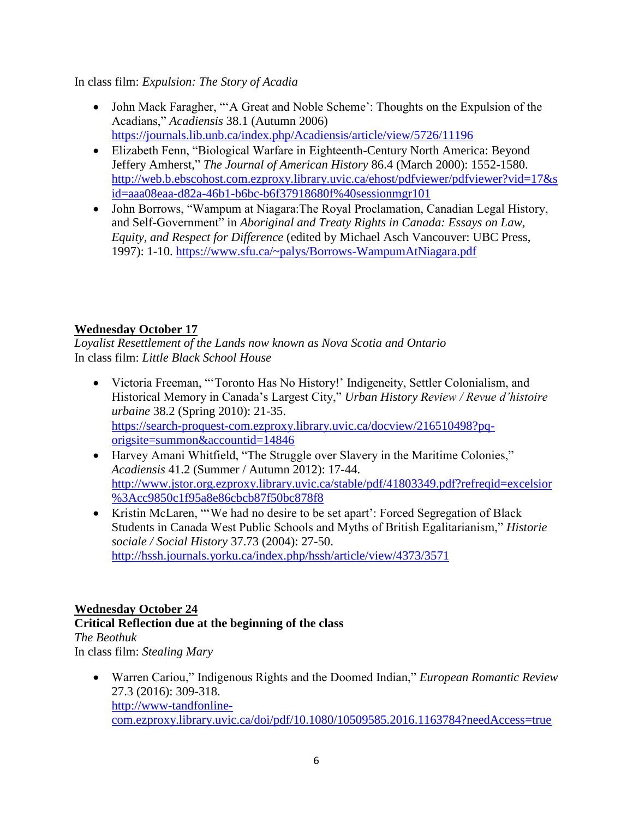In class film: *Expulsion: The Story of Acadia*

- John Mack Faragher, "'A Great and Noble Scheme': Thoughts on the Expulsion of the Acadians," *Acadiensis* 38.1 (Autumn 2006) <https://journals.lib.unb.ca/index.php/Acadiensis/article/view/5726/11196>
- Elizabeth Fenn, "Biological Warfare in Eighteenth-Century North America: Beyond Jeffery Amherst," *The Journal of American History* 86.4 (March 2000): 1552-1580. [http://web.b.ebscohost.com.ezproxy.library.uvic.ca/ehost/pdfviewer/pdfviewer?vid=17&s](http://web.b.ebscohost.com.ezproxy.library.uvic.ca/ehost/pdfviewer/pdfviewer?vid=17&sid=aaa08eaa-d82a-46b1-b6bc-b6f37918680f%40sessionmgr101) [id=aaa08eaa-d82a-46b1-b6bc-b6f37918680f%40sessionmgr101](http://web.b.ebscohost.com.ezproxy.library.uvic.ca/ehost/pdfviewer/pdfviewer?vid=17&sid=aaa08eaa-d82a-46b1-b6bc-b6f37918680f%40sessionmgr101)
- John Borrows, "Wampum at Niagara: The Royal Proclamation, Canadian Legal History, and Self-Government" in *Aboriginal and Treaty Rights in Canada: Essays on Law, Equity, and Respect for Difference* (edited by Michael Asch Vancouver: UBC Press, 1997): 1-10. <https://www.sfu.ca/~palys/Borrows-WampumAtNiagara.pdf>

# **Wednesday October 17**

*Loyalist Resettlement of the Lands now known as Nova Scotia and Ontario* In class film: *Little Black School House*

- Victoria Freeman, "Toronto Has No History!' Indigeneity, Settler Colonialism, and Historical Memory in Canada's Largest City," *Urban History Review / Revue d'histoire urbaine* 38.2 (Spring 2010): 21-35. [https://search-proquest-com.ezproxy.library.uvic.ca/docview/216510498?pq](https://search-proquest-com.ezproxy.library.uvic.ca/docview/216510498?pq-origsite=summon&accountid=14846)[origsite=summon&accountid=14846](https://search-proquest-com.ezproxy.library.uvic.ca/docview/216510498?pq-origsite=summon&accountid=14846)
- Harvey Amani Whitfield, "The Struggle over Slavery in the Maritime Colonies," *Acadiensis* 41.2 (Summer / Autumn 2012): 17-44. [http://www.jstor.org.ezproxy.library.uvic.ca/stable/pdf/41803349.pdf?refreqid=excelsior](http://www.jstor.org.ezproxy.library.uvic.ca/stable/pdf/41803349.pdf?refreqid=excelsior%3Acc9850c1f95a8e86cbcb87f50bc878f8) [%3Acc9850c1f95a8e86cbcb87f50bc878f8](http://www.jstor.org.ezproxy.library.uvic.ca/stable/pdf/41803349.pdf?refreqid=excelsior%3Acc9850c1f95a8e86cbcb87f50bc878f8)
- Kristin McLaren, "'We had no desire to be set apart': Forced Segregation of Black Students in Canada West Public Schools and Myths of British Egalitarianism," *Historie sociale / Social History* 37.73 (2004): 27-50. <http://hssh.journals.yorku.ca/index.php/hssh/article/view/4373/3571>

# **Wednesday October 24**

# **Critical Reflection due at the beginning of the class**

*The Beothuk* In class film: *Stealing Mary*

> Warren Cariou," Indigenous Rights and the Doomed Indian," *European Romantic Review* 27.3 (2016): 309-318. [http://www-tandfonline](http://www-tandfonline-com.ezproxy.library.uvic.ca/doi/pdf/10.1080/10509585.2016.1163784?needAccess=true)[com.ezproxy.library.uvic.ca/doi/pdf/10.1080/10509585.2016.1163784?needAccess=true](http://www-tandfonline-com.ezproxy.library.uvic.ca/doi/pdf/10.1080/10509585.2016.1163784?needAccess=true)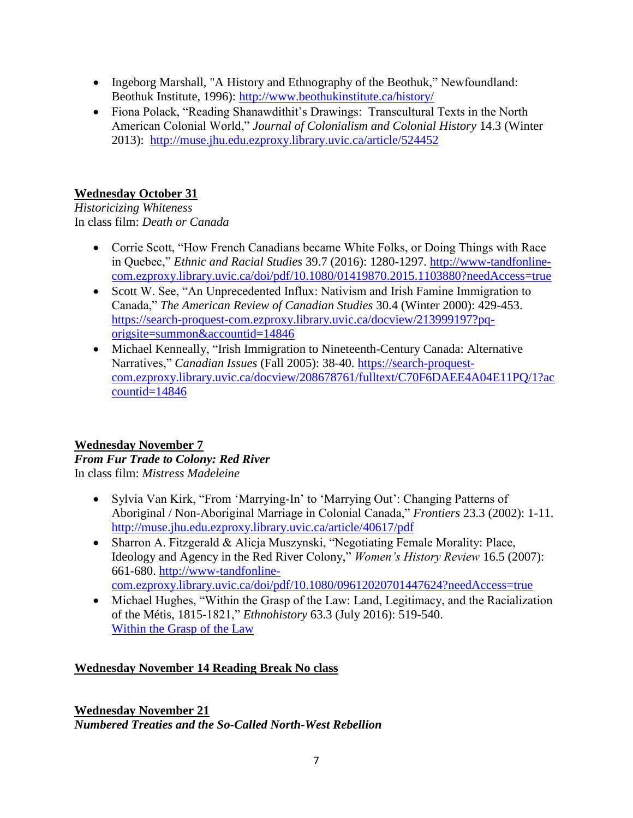- Ingeborg Marshall, "A History and Ethnography of the Beothuk," Newfoundland: Beothuk Institute, 1996):<http://www.beothukinstitute.ca/history/>
- Fiona Polack, "Reading Shanawdithit's Drawings: Transcultural Texts in the North American Colonial World," *Journal of Colonialism and Colonial History* 14.3 (Winter 2013): <http://muse.jhu.edu.ezproxy.library.uvic.ca/article/524452>

# **Wednesday October 31**

*Historicizing Whiteness* In class film: *Death or Canada*

- Corrie Scott, "How French Canadians became White Folks, or Doing Things with Race in Quebec," *Ethnic and Racial Studies* 39.7 (2016): 1280-1297. [http://www-tandfonline](http://www-tandfonline-com.ezproxy.library.uvic.ca/doi/pdf/10.1080/01419870.2015.1103880?needAccess=true)[com.ezproxy.library.uvic.ca/doi/pdf/10.1080/01419870.2015.1103880?needAccess=true](http://www-tandfonline-com.ezproxy.library.uvic.ca/doi/pdf/10.1080/01419870.2015.1103880?needAccess=true)
- Scott W. See, "An Unprecedented Influx: Nativism and Irish Famine Immigration to Canada," *The American Review of Canadian Studies* 30.4 (Winter 2000): 429-453. [https://search-proquest-com.ezproxy.library.uvic.ca/docview/213999197?pq](https://search-proquest-com.ezproxy.library.uvic.ca/docview/213999197?pq-origsite=summon&accountid=14846)[origsite=summon&accountid=14846](https://search-proquest-com.ezproxy.library.uvic.ca/docview/213999197?pq-origsite=summon&accountid=14846)
- Michael Kenneally, "Irish Immigration to Nineteenth-Century Canada: Alternative Narratives," *Canadian Issues* (Fall 2005): 38-40. [https://search-proquest](https://search-proquest-com.ezproxy.library.uvic.ca/docview/208678761/fulltext/C70F6DAEE4A04E11PQ/1?accountid=14846)[com.ezproxy.library.uvic.ca/docview/208678761/fulltext/C70F6DAEE4A04E11PQ/1?ac](https://search-proquest-com.ezproxy.library.uvic.ca/docview/208678761/fulltext/C70F6DAEE4A04E11PQ/1?accountid=14846) [countid=14846](https://search-proquest-com.ezproxy.library.uvic.ca/docview/208678761/fulltext/C70F6DAEE4A04E11PQ/1?accountid=14846)

#### **Wednesday November 7**  *From Fur Trade to Colony: Red River* In class film: *Mistress Madeleine*

- Sylvia Van Kirk, "From 'Marrying-In' to 'Marrying Out': Changing Patterns of Aboriginal / Non-Aboriginal Marriage in Colonial Canada," *Frontiers* 23.3 (2002): 1-11. <http://muse.jhu.edu.ezproxy.library.uvic.ca/article/40617/pdf>
- Sharron A. Fitzgerald & Alicja Muszynski, "Negotiating Female Morality: Place, Ideology and Agency in the Red River Colony," *Women's History Review* 16.5 (2007): 661-680. [http://www-tandfonline](http://www-tandfonline-com.ezproxy.library.uvic.ca/doi/pdf/10.1080/09612020701447624?needAccess=true)[com.ezproxy.library.uvic.ca/doi/pdf/10.1080/09612020701447624?needAccess=true](http://www-tandfonline-com.ezproxy.library.uvic.ca/doi/pdf/10.1080/09612020701447624?needAccess=true)
- Michael Hughes, "Within the Grasp of the Law: Land, Legitimacy, and the Racialization of the Métis, 1815-1821," *Ethnohistory* 63.3 (July 2016): 519-540. [Within the Grasp of the Law](http://lg5jh7pa3n.search.serialssolutions.com/?ctx_ver=Z39.88-2004&ctx_enc=info%3Aofi%2Fenc%3AUTF-8&rfr_id=info%3Asid%2Fsummon.serialssolutions.com&rft_val_fmt=info%3Aofi%2Ffmt%3Akev%3Amtx%3Ajournal&rft.genre=article&rft.atitle=Within+the+grasp+of+company+law%3A+land%2C+legitimacy%2C+and+the+racialization+of+the+Metis%2C+1815-1821&rft.jtitle=Ethnohistory&rft.au=Hughes%2C+Michael&rft.date=2016-07-01&rft.pub=Duke+University+Press&rft.issn=0014-1801&rft.eissn=1527-5477&rft.volume=63&rft.issue=3&rft.spage=519&rft_id=info:doi/10.1215%2F00141801-3496811&rft.externalDBID=BKMMT&rft.externalDocID=459889185¶mdict=en-US)

# **Wednesday November 14 Reading Break No class**

**Wednesday November 21** *Numbered Treaties and the So-Called North-West Rebellion*